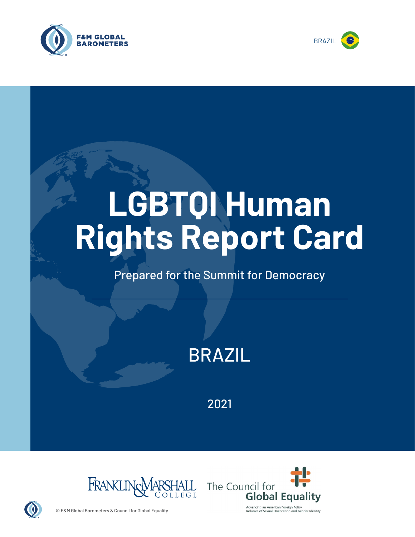



# **LGBTQI Human Rights Report Card**

## Prepared for the Summit for Democracy

# BRAZIL

2021





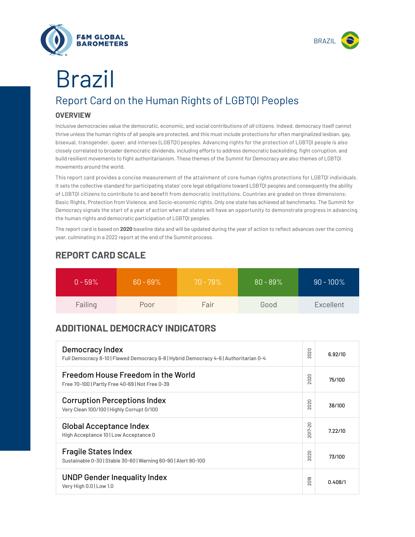



# Report Card on the Human Rights of LGBTQI Peoples Brazil

#### **OVERVIEW**

Inclusive democracies value the democratic, economic, and social contributions of *all* citizens. Indeed, democracy itself cannot thrive unless the human rights of all people are protected, and this must include protections for often marginalized lesbian, gay, bisexual, transgender, queer, and intersex (LGBTQI) peoples. Advancing rights for the protection of LGBTQI people is also closely correlated to broader democratic dividends, including efforts to address democratic backsliding, fight corruption, and build resilient movements to fight authoritarianism. These themes of the Summit for Democracy are also themes of LGBTQI movements around the world.

This report card provides a concise measurement of the attainment of core human rights protections for LGBTQI individuals. It sets the collective standard for participating states' core legal obligations toward LGBTQI peoples and consequently the ability of LGBTQI citizens to contribute to and benefit from democratic institutions. Countries are graded on three dimensions: Basic Rights, Protection from Violence, and Socio-economic rights. Only one state has achieved all benchmarks. The Summit for Democracy signals the start of a year of action when all states will have an opportunity to demonstrate progress in advancing the human rights and democratic participation of LGBTQI peoples.

The report card is based on **2020** baseline data and will be updated during the year of action to reflect advances over the coming year, culminating in a 2022 report at the end of the Summit process.

| $0 - 59\%$ | $60 - 69\%$ | $70 - 79\%$ | $80 - 89\%$ | $90 - 100\%$ |
|------------|-------------|-------------|-------------|--------------|
| Failing    | Poor        | Fair        | Good        | Excellent    |

### **REPORT CARD SCALE**

### **ADDITIONAL DEMOCRACY INDICATORS**

| Democracy Index<br>Full Democracy 8-10   Flawed Democracy 6-8   Hybrid Democracy 4-6   Authoritarian 0-4 | 2020                | 6.92/10 |
|----------------------------------------------------------------------------------------------------------|---------------------|---------|
| Freedom House Freedom in the World<br>Free 70-100   Partly Free 40-69   Not Free 0-39                    | 2020                | 75/100  |
| <b>Corruption Perceptions Index</b><br>Very Clean 100/100   Highly Corrupt 0/100                         | 020<br>$\sim$       | 38/100  |
| <b>Global Acceptance Index</b><br>High Acceptance 10   Low Acceptance 0                                  | 2017-20             | 7.22/10 |
| <b>Fragile States Index</b><br>Sustainable 0-30   Stable 30-60   Warning 60-90   Alert 90-100            | 2020                | 73/100  |
| <b>UNDP Gender Inequality Index</b><br>Very High 0.0   Low 1.0                                           | တ<br>$\overline{5}$ | 0.408/1 |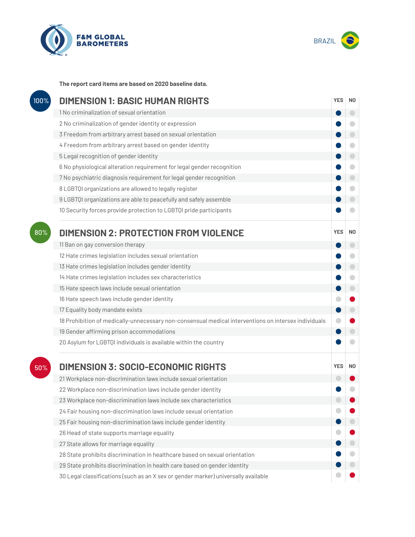



**The report card items are based on 2020 baseline data.**

| 100% | <b>DIMENSION 1: BASIC HUMAN RIGHTS</b>                                                               |            |                          |
|------|------------------------------------------------------------------------------------------------------|------------|--------------------------|
|      | 1 No criminalization of sexual orientation                                                           |            | $\overline{\phantom{0}}$ |
|      | 2 No criminalization of gender identity or expression                                                |            | c                        |
|      | 3 Freedom from arbitrary arrest based on sexual orientation                                          |            | $\Box$                   |
|      | 4 Freedom from arbitrary arrest based on gender identity                                             |            | $\overline{\phantom{0}}$ |
|      | 5 Legal recognition of gender identity                                                               |            | $\bigcirc$               |
|      | 6 No physiological alteration requirement for legal gender recognition                               |            | $\bigcirc$               |
|      | 7 No psychiatric diagnosis requirement for legal gender recognition                                  |            | $\bigcirc$               |
|      | 8 LGBTQI organizations are allowed to legally register                                               |            | O                        |
|      | 9 LGBTQI organizations are able to peacefully and safely assemble                                    |            | $\blacksquare$           |
|      | 10 Security forces provide protection to LGBTQI pride participants                                   |            | O                        |
| 80%  | <b>DIMENSION 2: PROTECTION FROM VIOLENCE</b>                                                         | <b>YES</b> | N <sub>0</sub>           |
|      | 11 Ban on gay conversion therapy                                                                     |            | $\overline{\phantom{0}}$ |
|      | 12 Hate crimes legislation includes sexual orientation                                               |            | O                        |
|      | 13 Hate crimes legislation includes gender identity                                                  |            | $\bigcirc$               |
|      | 14 Hate crimes legislation includes sex characteristics                                              |            | $\bigcirc$               |
|      | 15 Hate speech laws include sexual orientation                                                       |            | $\bigcirc$               |
|      | 16 Hate speech laws include gender identity                                                          |            |                          |
|      | 17 Equality body mandate exists                                                                      |            | $\bigcirc$               |
|      | 18 Prohibition of medically-unnecessary non-consensual medical interventions on intersex individuals |            |                          |
|      | 19 Gender affirming prison accommodations                                                            |            | $\overline{\phantom{0}}$ |
|      | 20 Asylum for LGBTQI individuals is available within the country                                     |            |                          |
| 50%  | <b>DIMENSION 3: SOCIO-ECONOMIC RIGHTS</b>                                                            | <b>YES</b> | N0                       |
|      | 21 Workplace non-discrimination laws include sexual orientation                                      |            |                          |
|      | 22 Workplace non-discrimination laws include gender identity                                         |            |                          |
|      | 23 Workplace non-discrimination laws include sex characteristics                                     |            |                          |
|      | 24 Fair housing non-discrimination laws include sexual orientation                                   |            |                          |
|      | 25 Fair housing non-discrimination laws include gender identity                                      |            |                          |
|      | 26 Head of state supports marriage equality                                                          |            |                          |
|      | 27 State allows for marriage equality                                                                |            |                          |
|      | 28 State prohibits discrimination in healthcare based on sexual orientation                          |            |                          |
|      | 29 State prohibits discrimination in health care based on gender identity                            |            |                          |
|      | 30 Legal classifications (such as an X sex or gender marker) universally available                   |            |                          |